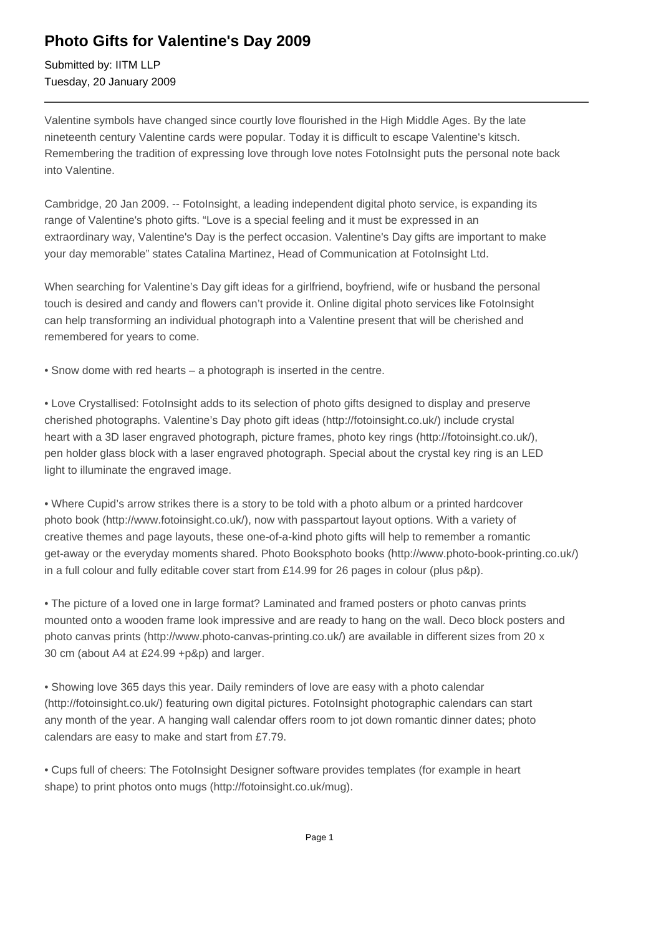## **Photo Gifts for Valentine's Day 2009**

Submitted by: IITM LLP Tuesday, 20 January 2009

Valentine symbols have changed since courtly love flourished in the High Middle Ages. By the late nineteenth century Valentine cards were popular. Today it is difficult to escape Valentine's kitsch. Remembering the tradition of expressing love through love notes FotoInsight puts the personal note back into Valentine.

Cambridge, 20 Jan 2009. -- FotoInsight, a leading independent digital photo service, is expanding its range of Valentine's photo gifts. "Love is a special feeling and it must be expressed in an extraordinary way, Valentine's Day is the perfect occasion. Valentine's Day gifts are important to make your day memorable" states Catalina Martinez, Head of Communication at FotoInsight Ltd.

When searching for Valentine's Day gift ideas for a girlfriend, boyfriend, wife or husband the personal touch is desired and candy and flowers can't provide it. Online digital photo services like FotoInsight can help transforming an individual photograph into a Valentine present that will be cherished and remembered for years to come.

• Snow dome with red hearts – a photograph is inserted in the centre.

• Love Crystallised: FotoInsight adds to its selection of photo gifts designed to display and preserve cherished photographs. Valentine's Day photo gift ideas (http://fotoinsight.co.uk/) include crystal heart with a 3D laser engraved photograph, picture frames, photo key rings (http://fotoinsight.co.uk/), pen holder glass block with a laser engraved photograph. Special about the crystal key ring is an LED light to illuminate the engraved image.

• Where Cupid's arrow strikes there is a story to be told with a photo album or a printed hardcover photo book (http://www.fotoinsight.co.uk/), now with passpartout layout options. With a variety of creative themes and page layouts, these one-of-a-kind photo gifts will help to remember a romantic get-away or the everyday moments shared. Photo Booksphoto books (http://www.photo-book-printing.co.uk/) in a full colour and fully editable cover start from £14.99 for 26 pages in colour (plus p&p).

• The picture of a loved one in large format? Laminated and framed posters or photo canvas prints mounted onto a wooden frame look impressive and are ready to hang on the wall. Deco block posters and photo canvas prints (http://www.photo-canvas-printing.co.uk/) are available in different sizes from 20 x 30 cm (about A4 at £24.99 +p&p) and larger.

• Showing love 365 days this year. Daily reminders of love are easy with a photo calendar (http://fotoinsight.co.uk/) featuring own digital pictures. FotoInsight photographic calendars can start any month of the year. A hanging wall calendar offers room to jot down romantic dinner dates; photo calendars are easy to make and start from £7.79.

• Cups full of cheers: The FotoInsight Designer software provides templates (for example in heart shape) to print photos onto mugs (http://fotoinsight.co.uk/mug).